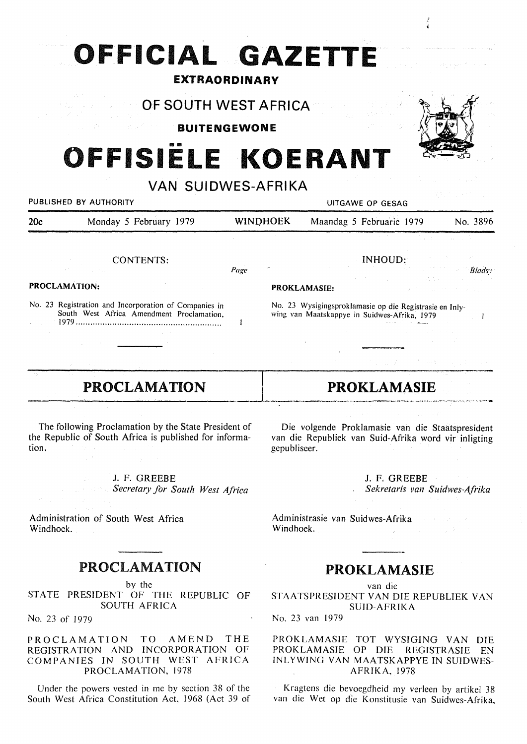## **OFFICIAL GAZETTE**

### **EXTRAORDINARY**

**OF SOUTH WEST AFRICA** 

**BUITENGEWONE** 

# **OFFISIELE KOERANT**

**VAN SUIDWES-AFRIKA** 

## PUBLISHED BY AUTHORITY **NAMEL SEE ASSESS** OF GESAG 20c Monday 5 February 1979 WINQHOEK Maandag 5 Februarie 1979 No. 3896

CONTENTS:

*Page* 

 $\mathbf{I}$ 

### **PROCLAMATION:**

No. 23 Registration and Incorporation of Companies in South West Africa Amendment Proclamation, 1979 ····························································

## INHOUD:

#### **PROKLAMASIE:**

No. 23 Wysigingsproklamasie op die Registrasie en Inlywing van Maatskappye in Suidwes-Afrika, 1979

## **PROCLAMATION**  PRUCLAMATION PRORLAMASIE

The following Proclamation by the State President of the Republic of South Africa is published for information.

**J.** F. GREEBE

*Secretary for South West Africa* 

Administration of South West Africa Windhoek.

## **PROCLAMATION**

by the

STATE PRESIDENT OF THE REPUBLIC OF SOUTH AFRICA

No. 23 of 1979

PROCLAMATION TO AMEND THE REGISTRATION AND INCORPORATION OF COMPANIES IN SOUTH WEST AFRICA PROCLAMATION, 1978

Under the powers vested in me by section 38 of the South West Africa Constitution Act, 1968 (Act 39 of

Die volgende Proklamasie van die Staatspresident van die Republiek van Suid-Afrika word vir inligting gepubliseer.

I **PROKLAMASIE** 

J. F. GREEBE *Sekretaris van Suidwes-Afrika* 

Administrasie van Suidwes-Afrika Windhoek.

## **PROKLAMASIE.**

van die STAATS PRESIDENT VAN DIE REPUBLIEK VAN SUID-AFRIKA

No. 23 van 1979

#### PROKLAMASIE TOT WYSIGING VAN DIE PROKLAMASIE OP DIE REGISTRASIE EN INL YWING VAN MAA TSKAPPYE IN SUIDWES-AFRIKA, 1978

· Kragtens die bevoegdheid my verleen by artikel 38 van die Wet op die Konstitusie van Suidwes-Afrika,



*B/adsy* 

 $\mathbf{I}$